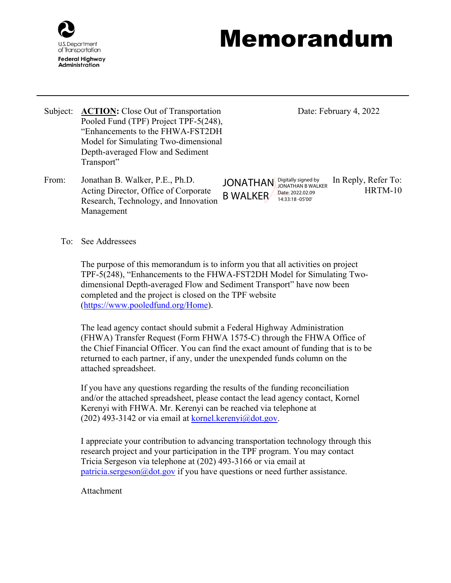

## Memorandum

- Subject: **ACTION:** Close Out of Transportation Pooled Fund (TPF) Project TPF-5(248), "Enhancements to the FHWA-FST2DH Model for Simulating Two-dimensional Depth-averaged Flow and Sediment Transport"
- From: Jonathan B. Walker, P.E., Ph.D. JONATHAN Digitally signed by In Reply, Refer To: Acting Director, Office of Corporate Research, Technology, and Innovation Management

Date: February 4, 2022

HRTM-10 B WALKER Date: 2022.02.09 JONATHAN B WALKER 14:33:18 -05'00'

To: See Addressees

The purpose of this memorandum is to inform you that all activities on project TPF-5(248), "Enhancements to the FHWA-FST2DH Model for Simulating Twodimensional Depth-averaged Flow and Sediment Transport" have now been completed and the project is closed on the TPF website [\(https://www.pooledfund.org/Home\)](https://www.pooledfund.org/Home).

The lead agency contact should submit a Federal Highway Administration (FHWA) Transfer Request (Form FHWA 1575-C) through the FHWA Office of the Chief Financial Officer. You can find the exact amount of funding that is to be returned to each partner, if any, under the unexpended funds column on the attached spreadsheet.

If you have any questions regarding the results of the funding reconciliation and/or the attached spreadsheet, please contact the lead agency contact, Kornel Kerenyi with FHWA. Mr. Kerenyi can be reached via telephone at (202) 493-3142 or via email at  $k$ ornel.kerenyi $\omega$ dot.gov.

I appreciate your contribution to advancing transportation technology through this research project and your participation in the TPF program. You may contact Tricia Sergeson via telephone at (202) 493-3166 or via email at [patricia.sergeson@dot.gov](mailto:patricia.sergeson@dot.gov) if you have questions or need further assistance.

## Attachment